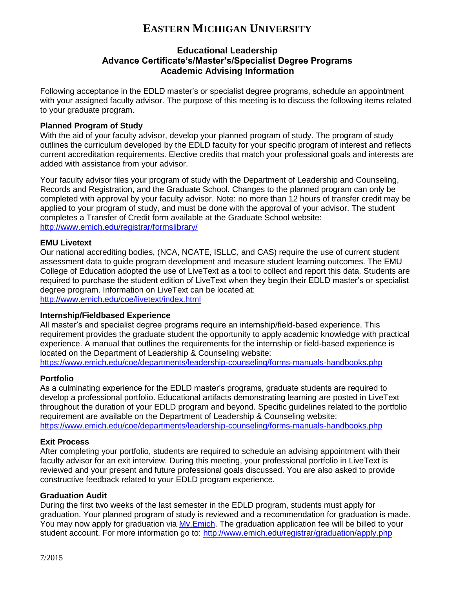# **EASTERN MICHIGAN UNIVERSITY**

# **Educational Leadership Advance Certificate's/Master's/Specialist Degree Programs Academic Advising Information**

Following acceptance in the EDLD master's or specialist degree programs, schedule an appointment with your assigned faculty advisor. The purpose of this meeting is to discuss the following items related to your graduate program.

#### **Planned Program of Study**

With the aid of your faculty advisor, develop your planned program of study. The program of study outlines the curriculum developed by the EDLD faculty for your specific program of interest and reflects current accreditation requirements. Elective credits that match your professional goals and interests are added with assistance from your advisor.

Your faculty advisor files your program of study with the Department of Leadership and Counseling, Records and Registration, and the Graduate School. Changes to the planned program can only be completed with approval by your faculty advisor. Note: no more than 12 hours of transfer credit may be applied to your program of study, and must be done with the approval of your advisor. The student completes a Transfer of Credit form available at the Graduate School website: <http://www.emich.edu/registrar/formslibrary/>

#### **EMU Livetext**

Our national accrediting bodies, (NCA, NCATE, ISLLC, and CAS) require the use of current student assessment data to guide program development and measure student learning outcomes. The EMU College of Education adopted the use of LiveText as a tool to collect and report this data. Students are required to purchase the student edition of LiveText when they begin their EDLD master's or specialist degree program. Information on LiveText can be located at: <http://www.emich.edu/coe/livetext/index.html>

#### **Internship/Fieldbased Experience**

All master's and specialist degree programs require an internship/field-based experience. This requirement provides the graduate student the opportunity to apply academic knowledge with practical experience. A manual that outlines the requirements for the internship or field-based experience is located on the Department of Leadership & Counseling website:

<https://www.emich.edu/coe/departments/leadership-counseling/forms-manuals-handbooks.php>

## **Portfolio**

As a culminating experience for the EDLD master's programs, graduate students are required to develop a professional portfolio. Educational artifacts demonstrating learning are posted in LiveText throughout the duration of your EDLD program and beyond. Specific guidelines related to the portfolio requirement are available on the Department of Leadership & Counseling website: <https://www.emich.edu/coe/departments/leadership-counseling/forms-manuals-handbooks.php>

## **Exit Process**

After completing your portfolio, students are required to schedule an advising appointment with their faculty advisor for an exit interview. During this meeting, your professional portfolio in LiveText is reviewed and your present and future professional goals discussed. You are also asked to provide constructive feedback related to your EDLD program experience.

#### **Graduation Audit**

During the first two weeks of the last semester in the EDLD program, students must apply for graduation. Your planned program of study is reviewed and a recommendation for graduation is made. You may now apply for graduation via My. Emich. The graduation application fee will be billed to your student account. For more information go to:<http://www.emich.edu/registrar/graduation/apply.php>